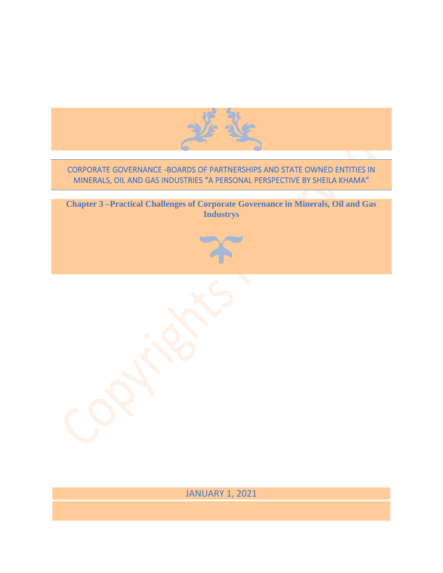

# CORPORATE GOVERNANCE -BOARDS OF PARTNERSHIPS AND STATE OWNED ENTITIES IN MINERALS, OIL AND GAS INDUSTRIES "A PERSONAL PERSPECTIVE BY SHEILA KHAMA"

**Chapter 3 –Practical Challenges of Corporate Governance in Minerals, Oil and Gas Industrys**

JANUARY 1, 2021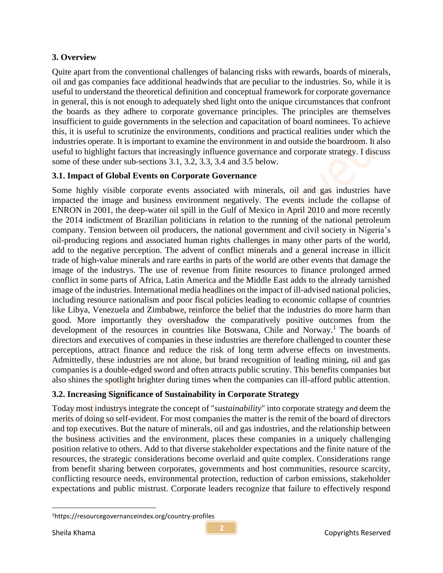### **3. Overview**

Quite apart from the conventional challenges of balancing risks with rewards, boards of minerals, oil and gas companies face additional headwinds that are peculiar to the industries. So, while it is useful to understand the theoretical definition and conceptual framework for corporate governance in general, this is not enough to adequately shed light onto the unique circumstances that confront the boards as they adhere to corporate governance principles. The principles are themselves insufficient to guide governments in the selection and capacitation of board nominees. To achieve this, it is useful to scrutinize the environments, conditions and practical realities under which the industries operate. It is important to examine the environment in and outside the boardroom. It also useful to highlight factors that increasingly influence governance and corporate strategy. I discuss some of these under sub-sections 3.1, 3.2, 3.3, 3.4 and 3.5 below.

### **3.1. Impact of Global Events on Corporate Governance**

Some highly visible corporate events associated with minerals, oil and gas industries have impacted the image and business environment negatively. The events include the collapse of ENRON in 2001, the deep-water oil spill in the Gulf of Mexico in April 2010 and more recently the 2014 indictment of Brazilian politicians in relation to the running of the national petroleum company. Tension between oil producers, the national government and civil society in Nigeria's oil-producing regions and associated human rights challenges in many other parts of the world, add to the negative perception. The advent of conflict minerals and a general increase in illicit trade of high-value minerals and rare earths in parts of the world are other events that damage the image of the industrys. The use of revenue from finite resources to finance prolonged armed conflict in some parts of Africa, Latin America and the Middle East adds to the already tarnished image of the industries. International media headlines on the impact of ill-advised national policies, including resource nationalism and poor fiscal policies leading to economic collapse of countries like Libya, Venezuela and Zimbabwe, reinforce the belief that the industries do more harm than good. More importantly they overshadow the comparatively positive outcomes from the development of the resources in countries like Botswana, Chile and Norway.<sup>1</sup> The boards of directors and executives of companies in these industries are therefore challenged to counter these perceptions, attract finance and reduce the risk of long term adverse effects on investments. Admittedly, these industries are not alone, but brand recognition of leading mining, oil and gas companies is a double-edged sword and often attracts public scrutiny. This benefits companies but also shines the spotlight brighter during times when the companies can ill-afford public attention.

# **3.2. Increasing Significance of Sustainability in Corporate Strategy**

Today most industrys integrate the concept of "*sustainability*" into corporate strategy and deem the merits of doing so self-evident. For most companies the matter is the remit of the board of directors and top executives. But the nature of minerals, oil and gas industries, and the relationship between the business activities and the environment, places these companies in a uniquely challenging position relative to others. Add to that diverse stakeholder expectations and the finite nature of the resources, the strategic considerations become overlaid and quite complex. Considerations range from benefit sharing between corporates, governments and host communities, resource scarcity, conflicting resource needs, environmental protection, reduction of carbon emissions, stakeholder expectations and public mistrust. Corporate leaders recognize that failure to effectively respond

<sup>1</sup>https://resourcegovernanceindex.org/country-profiles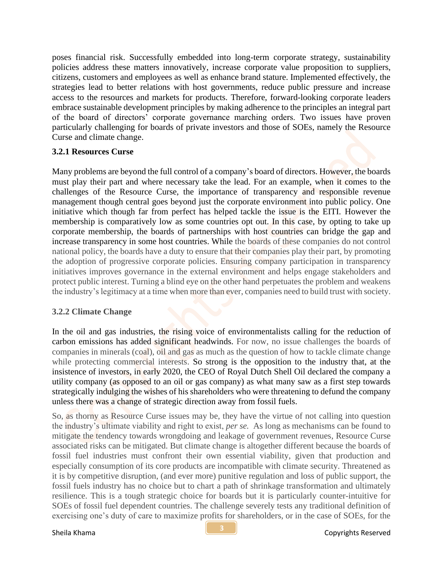poses financial risk. Successfully embedded into long-term corporate strategy, sustainability policies address these matters innovatively, increase corporate value proposition to suppliers, citizens, customers and employees as well as enhance brand stature. Implemented effectively, the strategies lead to better relations with host governments, reduce public pressure and increase access to the resources and markets for products. Therefore, forward-looking corporate leaders embrace sustainable development principles by making adherence to the principles an integral part of the board of directors' corporate governance marching orders. Two issues have proven particularly challenging for boards of private investors and those of SOEs, namely the Resource Curse and climate change.

#### **3.2.1 Resources Curse**

Many problems are beyond the full control of a company's board of directors. However, the boards must play their part and where necessary take the lead. For an example, when it comes to the challenges of the Resource Curse, the importance of transparency and responsible revenue management though central goes beyond just the corporate environment into public policy. One initiative which though far from perfect has helped tackle the issue is the EITI. However the membership is comparatively low as some countries opt out. In this case, by opting to take up corporate membership, the boards of partnerships with host countries can bridge the gap and increase transparency in some host countries. While the boards of these companies do not control national policy, the boards have a duty to ensure that their companies play their part, by promoting the adoption of progressive corporate policies. Ensuring company participation in transparency initiatives improves governance in the external environment and helps engage stakeholders and protect public interest. Turning a blind eye on the other hand perpetuates the problem and weakens the industry's legitimacy at a time when more than ever, companies need to build trust with society.

#### **3.2.2 Climate Change**

In the oil and gas industries, the rising voice of environmentalists calling for the reduction of carbon emissions has added significant headwinds. For now, no issue challenges the boards of companies in minerals (coal), oil and gas as much as the question of how to tackle climate change while protecting commercial interests. So strong is the opposition to the industry that, at the insistence of investors, in early 2020, the CEO of Royal Dutch Shell Oil declared the company a utility company (as opposed to an oil or gas company) as what many saw as a first step towards strategically indulging the wishes of his shareholders who were threatening to defund the company unless there was a change of strategic direction away from fossil fuels.

So, as thorny as Resource Curse issues may be, they have the virtue of not calling into question the industry's ultimate viability and right to exist, *per se.* As long as mechanisms can be found to mitigate the tendency towards wrongdoing and leakage of government revenues, Resource Curse associated risks can be mitigated. But climate change is altogether different because the boards of fossil fuel industries must confront their own essential viability, given that production and especially consumption of its core products are incompatible with climate security. Threatened as it is by competitive disruption, (and ever more) punitive regulation and loss of public support, the fossil fuels industry has no choice but to chart a path of shrinkage transformation and ultimately resilience. This is a tough strategic choice for boards but it is particularly counter-intuitive for SOEs of fossil fuel dependent countries. The challenge severely tests any traditional definition of exercising one's duty of care to maximize profits for shareholders, or in the case of SOEs, for the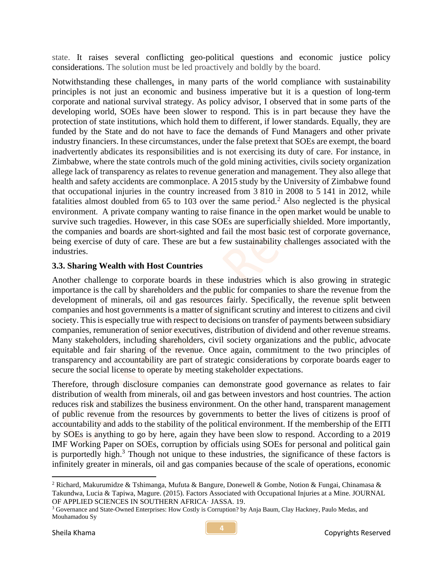state. It raises several conflicting geo-political questions and economic justice policy considerations. The solution must be led proactively and boldly by the board.

Notwithstanding these challenges, in many parts of the world compliance with sustainability principles is not just an economic and business imperative but it is a question of long-term corporate and national survival strategy. As policy advisor, I observed that in some parts of the developing world, SOEs have been slower to respond. This is in part because they have the protection of state institutions, which hold them to different, if lower standards. Equally, they are funded by the State and do not have to face the demands of Fund Managers and other private industry financiers. In these circumstances, under the false pretext that SOEs are exempt, the board inadvertently abdicates its responsibilities and is not exercising its duty of care. For instance, in Zimbabwe, where the state controls much of the gold mining activities, civils society organization allege lack of transparency as relates to revenue generation and management. They also allege that health and safety accidents are commonplace. A 2015 study by the University of Zimbabwe found that occupational injuries in the country increased from 3 810 in 2008 to 5 141 in 2012, while fatalities almost doubled from  $65$  to  $103$  over the same period.<sup>2</sup> Also neglected is the physical environment. A private company wanting to raise finance in the open market would be unable to survive such tragedies. However, in this case SOEs are superficially shielded. More importantly, the companies and boards are short-sighted and fail the most basic test of corporate governance, being exercise of duty of care. These are but a few sustainability challenges associated with the industries.

### **3.3. Sharing Wealth with Host Countries**

Another challenge to corporate boards in these industries which is also growing in strategic importance is the call by shareholders and the public for companies to share the revenue from the development of minerals, oil and gas resources fairly. Specifically, the revenue split between companies and host governments is a matter of significant scrutiny and interest to citizens and civil society. This is especially true with respect to decisions on transfer of payments between subsidiary companies, remuneration of senior executives, distribution of dividend and other revenue streams. Many stakeholders, including shareholders, civil society organizations and the public, advocate equitable and fair sharing of the revenue. Once again, commitment to the two principles of transparency and accountability are part of strategic considerations by corporate boards eager to secure the social license to operate by meeting stakeholder expectations.

Therefore, through disclosure companies can demonstrate good governance as relates to fair distribution of wealth from minerals, oil and gas between investors and host countries. The action reduces risk and stabilizes the business environment. On the other hand, transparent management of public revenue from the resources by governments to better the lives of citizens is proof of accountability and adds to the stability of the political environment. If the membership of the EITI by SOEs is anything to go by here, again they have been slow to respond. According to a 2019 IMF Working Paper on SOEs, corruption by officials using SOEs for personal and political gain is purportedly high. $3$  Though not unique to these industries, the significance of these factors is infinitely greater in minerals, oil and gas companies because of the scale of operations, economic

<sup>&</sup>lt;sup>2</sup> Richard, Makurumidze & Tshimanga, Mufuta & Bangure, Donewell & Gombe, Notion & Fungai, Chinamasa & Takundwa, Lucia & Tapiwa, Magure. (2015). Factors Associated with Occupational Injuries at a Mine. JOURNAL OF APPLIED SCIENCES IN SOUTHERN AFRICA· JASSA. 19.

<sup>3</sup> Governance and State-Owned Enterprises: How Costly is Corruption? by Anja Baum, Clay Hackney, Paulo Medas, and Mouhamadou Sy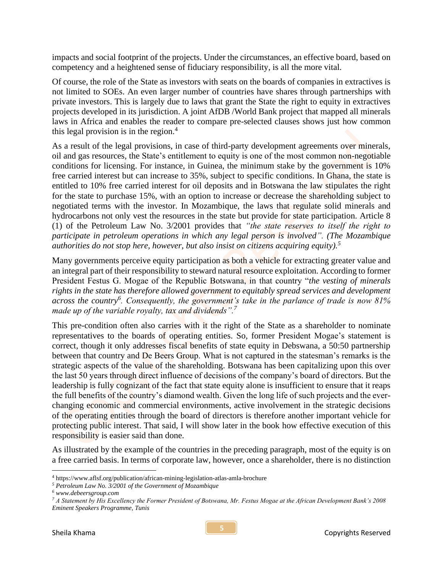impacts and social footprint of the projects. Under the circumstances, an effective board, based on competency and a heightened sense of fiduciary responsibility, is all the more vital.

Of course, the role of the State as investors with seats on the boards of companies in extractives is not limited to SOEs. An even larger number of countries have shares through partnerships with private investors. This is largely due to laws that grant the State the right to equity in extractives projects developed in its jurisdiction. A joint AfDB /World Bank project that mapped all minerals laws in Africa and enables the reader to compare pre-selected clauses shows just how common this legal provision is in the region. $4$ 

As a result of the legal provisions, in case of third-party development agreements over minerals, oil and gas resources, the State's entitlement to equity is one of the most common non-negotiable conditions for licensing. For instance, in Guinea, the minimum stake by the government is 10% free carried interest but can increase to 35%, subject to specific conditions. In Ghana, the state is entitled to 10% free carried interest for oil deposits and in Botswana the law stipulates the right for the state to purchase 15%, with an option to increase or decrease the shareholding subject to negotiated terms with the investor. In Mozambique, the laws that regulate solid minerals and hydrocarbons not only vest the resources in the state but provide for state participation. Article 8 (1) of the Petroleum Law No. 3/2001 provides that *"the state reserves to itself the right to participate in petroleum operations in which any legal person is involved". (The Mozambique authorities do not stop here, however, but also insist on citizens acquiring equity).<sup>5</sup>*

Many governments perceive equity participation as both a vehicle for extracting greater value and an integral part of their responsibility to steward natural resource exploitation. According to former President Festus G. Mogae of the Republic Botswana, in that country "*the vesting of minerals rights in the state has therefore allowed government to equitably spread services and development across the country<sup>6</sup> . Consequently, the government's take in the parlance of trade is now 81% made up of the variable royalty, tax and dividends".<sup>7</sup>*

This pre-condition often also carries with it the right of the State as a shareholder to nominate representatives to the boards of operating entities. So, former President Mogae's statement is correct, though it only addresses fiscal benefits of state equity in Debswana, a 50:50 partnership between that country and De Beers Group. What is not captured in the statesman's remarks is the strategic aspects of the value of the shareholding. Botswana has been capitalizing upon this over the last 50 years through direct influence of decisions of the company's board of directors. But the leadership is fully cognizant of the fact that state equity alone is insufficient to ensure that it reaps the full benefits of the country's diamond wealth. Given the long life of such projects and the everchanging economic and commercial environments, active involvement in the strategic decisions of the operating entities through the board of directors is therefore another important vehicle for protecting public interest. That said, I will show later in the book how effective execution of this responsibility is easier said than done.

As illustrated by the example of the countries in the preceding paragraph, most of the equity is on a free carried basis. In terms of corporate law, however, once a shareholder, there is no distinction

<sup>4</sup> <https://www.aflsf.org/publication/african-mining-legislation-atlas-amla-brochure>

*<sup>5</sup> Petroleum Law No. 3/2001 of the Government of Mozambique*

*<sup>6</sup> www.debeersgroup.com*

*<sup>7</sup> A Statement by His Excellency the Former President of Botswana, Mr. Festus Mogae at the African Development Bank's 2008 Eminent Speakers Programme, Tunis*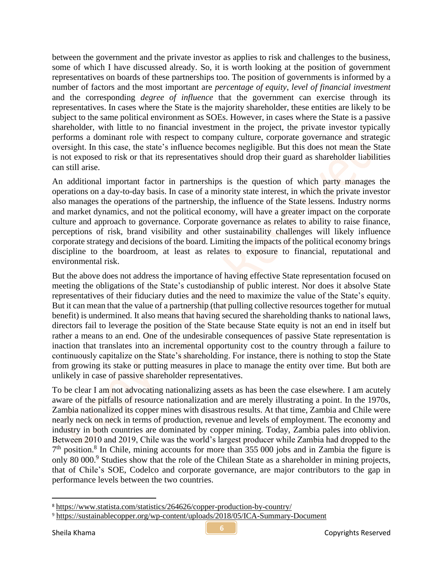between the government and the private investor as applies to risk and challenges to the business, some of which I have discussed already. So, it is worth looking at the position of government representatives on boards of these partnerships too. The position of governments is informed by a number of factors and the most important are *percentage of equity*, *level of financial investment* and the corresponding *degree of influence* that the government can exercise through its representatives. In cases where the State is the majority shareholder, these entities are likely to be subject to the same political environment as SOEs. However, in cases where the State is a passive shareholder, with little to no financial investment in the project, the private investor typically performs a dominant role with respect to company culture, corporate governance and strategic oversight. In this case, the state's influence becomes negligible. But this does not mean the State is not exposed to risk or that its representatives should drop their guard as shareholder liabilities can still arise.

An additional important factor in partnerships is the question of which party manages the operations on a day-to-day basis. In case of a minority state interest, in which the private investor also manages the operations of the partnership, the influence of the State lessens. Industry norms and market dynamics, and not the political economy, will have a greater impact on the corporate culture and approach to governance. Corporate governance as relates to ability to raise finance, perceptions of risk, brand visibility and other sustainability challenges will likely influence corporate strategy and decisions of the board. Limiting the impacts of the political economy brings discipline to the boardroom, at least as relates to exposure to financial, reputational and environmental risk.

But the above does not address the importance of having effective State representation focused on meeting the obligations of the State's custodianship of public interest. Nor does it absolve State representatives of their fiduciary duties and the need to maximize the value of the State's equity. But it can mean that the value of a partnership (that pulling collective resources together for mutual benefit) is undermined. It also means that having secured the shareholding thanks to national laws, directors fail to leverage the position of the State because State equity is not an end in itself but rather a means to an end. One of the undesirable consequences of passive State representation is inaction that translates into an incremental opportunity cost to the country through a failure to continuously capitalize on the State's shareholding. For instance, there is nothing to stop the State from growing its stake or putting measures in place to manage the entity over time. But both are unlikely in case of passive shareholder representatives.

To be clear I am not advocating nationalizing assets as has been the case elsewhere. I am acutely aware of the pitfalls of resource nationalization and are merely illustrating a point. In the 1970s, Zambia nationalized its copper mines with disastrous results. At that time, Zambia and Chile were nearly neck on neck in terms of production, revenue and levels of employment. The economy and industry in both countries are dominated by copper mining. Today, Zambia pales into oblivion. Between 2010 and 2019, Chile was the world's largest producer while Zambia had dropped to the  $7<sup>th</sup>$  position.<sup>8</sup> In Chile, mining accounts for more than 355 000 jobs and in Zambia the figure is only 80 000.<sup>9</sup> Studies show that the role of the Chilean State as a shareholder in mining projects, that of Chile's SOE, Codelco and corporate governance, are major contributors to the gap in performance levels between the two countries.

<sup>8</sup> <https://www.statista.com/statistics/264626/copper-production-by-country/>

<sup>9</sup> <https://sustainablecopper.org/wp-content/uploads/2018/05/ICA-Summary-Document>